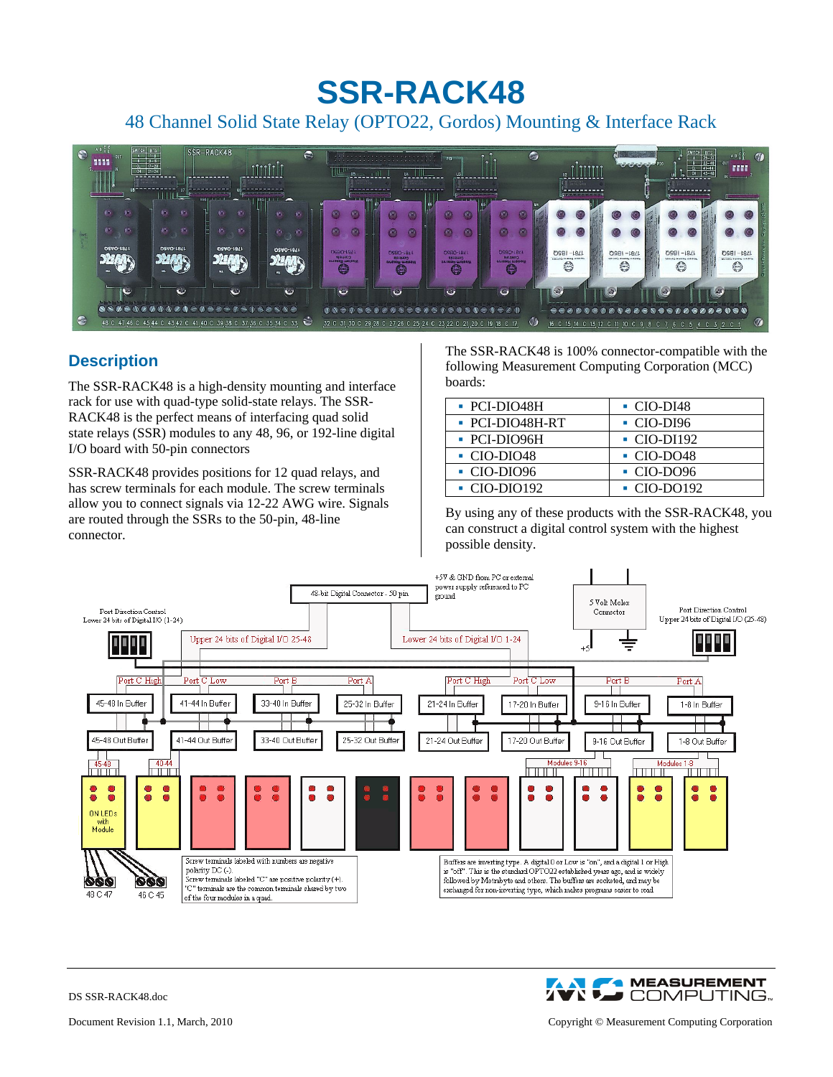# **SSR-RACK48**

## 48 Channel Solid State Relay (OPTO22, Gordos) Mounting & Interface Rack



### **Description**

The SSR-RACK48 is a high-density mounting and interface rack for use with quad-type solid-state relays. The SSR-RACK48 is the perfect means of interfacing quad solid state relays (SSR) modules to any 48, 96, or 192-line digital I/O board with 50-pin connectors

SSR-RACK48 provides positions for 12 quad relays, and has screw terminals for each module. The screw terminals allow you to connect signals via 12-22 AWG wire. Signals are routed through the SSRs to the 50-pin, 48-line connector.

The SSR-RACK48 is 100% connector-compatible with the following Measurement Computing Corporation (MCC) boards:

| • PCI-DIO48H                 | $\cdot$ CIO-DI48         |
|------------------------------|--------------------------|
| $\blacksquare$ PCI-DIO48H-RT | $\cdot$ CIO-DI96         |
| • PCI-DIO96H                 | $\blacksquare$ CIO-DI192 |
| $\blacksquare$ CIO-DIO48     | $\cdot$ CIO-DO48         |
| $\cdot$ CIO-DIO96            | $\cdot$ CIO-DO96         |
| $\cdot$ CIO-DIO192           | $\cdot$ CIO-DO192        |

By using any of these products with the SSR-RACK48, you can construct a digital control system with the highest possible density.



**A MEASUREMENT AX J** COMPUTING...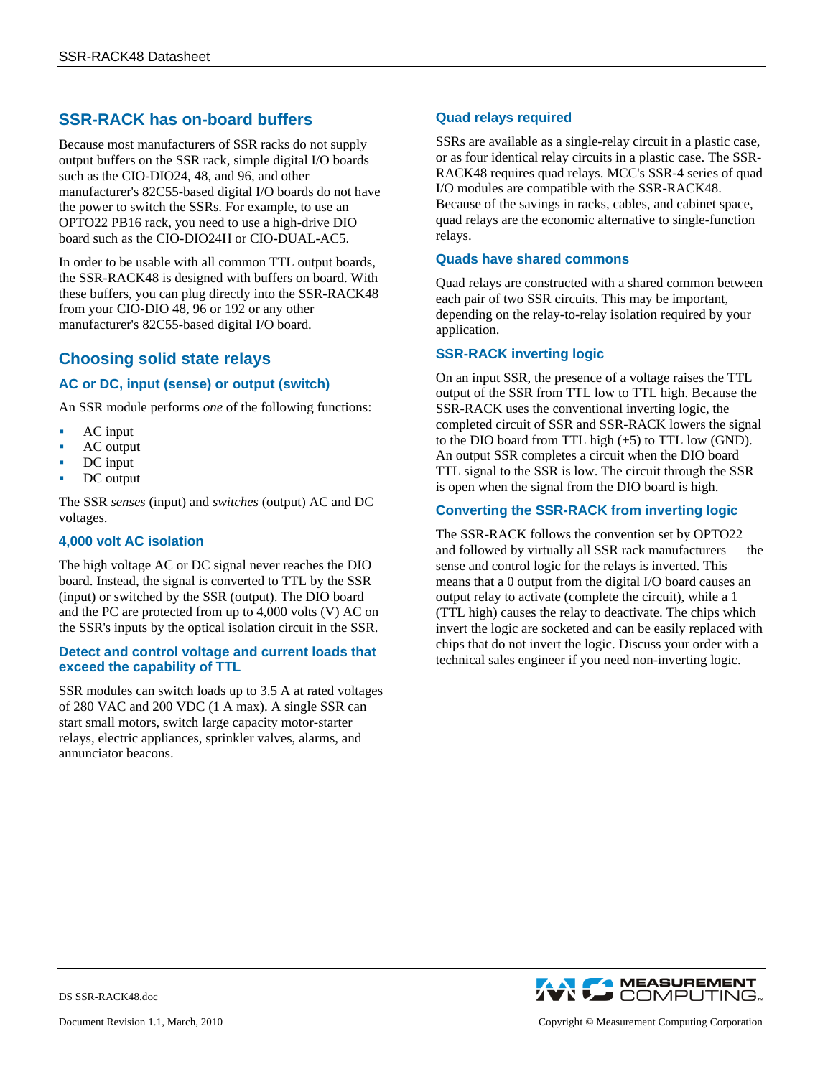### **SSR-RACK has on-board buffers**

Because most manufacturers of SSR racks do not supply output buffers on the SSR rack, simple digital I/O boards such as the CIO-DIO24, 48, and 96, and other manufacturer's 82C55-based digital I/O boards do not have the power to switch the SSRs. For example, to use an OPTO22 PB16 rack, you need to use a high-drive DIO board such as the CIO-DIO24H or CIO-DUAL-AC5.

In order to be usable with all common TTL output boards, the SSR-RACK48 is designed with buffers on board. With these buffers, you can plug directly into the SSR-RACK48 from your CIO-DIO 48, 96 or 192 or any other manufacturer's 82C55-based digital I/O board.

### **Choosing solid state relays**

### **AC or DC, input (sense) or output (switch)**

An SSR module performs *one* of the following functions:

- AC input
- AC output
- DC input
- DC output

The SSR *senses* (input) and *switches* (output) AC and DC voltages.

#### **4,000 volt AC isolation**

The high voltage AC or DC signal never reaches the DIO board. Instead, the signal is converted to TTL by the SSR (input) or switched by the SSR (output). The DIO board and the PC are protected from up to 4,000 volts (V) AC on the SSR's inputs by the optical isolation circuit in the SSR.

#### **Detect and control voltage and current loads that exceed the capability of TTL**

SSR modules can switch loads up to 3.5 A at rated voltages of 280 VAC and 200 VDC (1 A max). A single SSR can start small motors, switch large capacity motor-starter relays, electric appliances, sprinkler valves, alarms, and annunciator beacons.

#### **Quad relays required**

SSRs are available as a single-relay circuit in a plastic case, or as four identical relay circuits in a plastic case. The SSR-RACK48 requires quad relays. MCC's SSR-4 series of quad I/O modules are compatible with the SSR-RACK48. Because of the savings in racks, cables, and cabinet space, quad relays are the economic alternative to single-function relays.

#### **Quads have shared commons**

Quad relays are constructed with a shared common between each pair of two SSR circuits. This may be important, depending on the relay-to-relay isolation required by your application.

#### **SSR-RACK inverting logic**

On an input SSR, the presence of a voltage raises the TTL output of the SSR from TTL low to TTL high. Because the SSR-RACK uses the conventional inverting logic, the completed circuit of SSR and SSR-RACK lowers the signal to the DIO board from TTL high (+5) to TTL low (GND). An output SSR completes a circuit when the DIO board TTL signal to the SSR is low. The circuit through the SSR is open when the signal from the DIO board is high.

#### **Converting the SSR-RACK from inverting logic**

The SSR-RACK follows the convention set by OPTO22 and followed by virtually all SSR rack manufacturers — the sense and control logic for the relays is inverted. This means that a 0 output from the digital I/O board causes an output relay to activate (complete the circuit), while a 1 (TTL high) causes the relay to deactivate. The chips which invert the logic are socketed and can be easily replaced with chips that do not invert the logic. Discuss your order with a technical sales engineer if you need non-inverting logic.



DS SSR-RACK48.doc